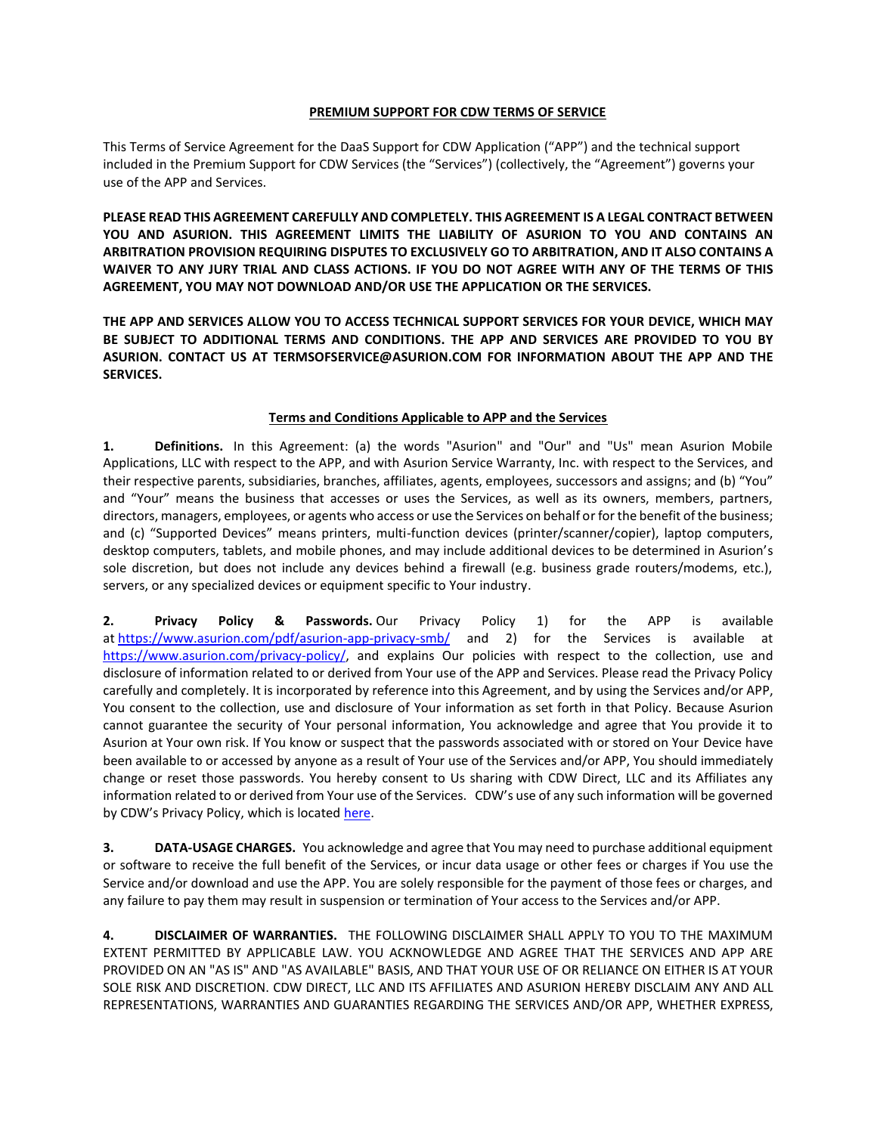### **PREMIUM SUPPORT FOR CDW TERMS OF SERVICE**

This Terms of Service Agreement for the DaaS Support for CDW Application ("APP") and the technical support included in the Premium Support for CDW Services (the "Services") (collectively, the "Agreement") governs your use of the APP and Services.

**PLEASE READ THIS AGREEMENT CAREFULLY AND COMPLETELY. THIS AGREEMENT IS A LEGAL CONTRACT BETWEEN YOU AND ASURION. THIS AGREEMENT LIMITS THE LIABILITY OF ASURION TO YOU AND CONTAINS AN ARBITRATION PROVISION REQUIRING DISPUTES TO EXCLUSIVELY GO TO ARBITRATION, AND IT ALSO CONTAINS A** WAIVER TO ANY JURY TRIAL AND CLASS ACTIONS. IF YOU DO NOT AGREE WITH ANY OF THE TERMS OF THIS **AGREEMENT, YOU MAY NOT DOWNLOAD AND/OR USE THE APPLICATION OR THE SERVICES.**

**THE APP AND SERVICES ALLOW YOU TO ACCESS TECHNICAL SUPPORT SERVICES FOR YOUR DEVICE, WHICH MAY BE SUBJECT TO ADDITIONAL TERMS AND CONDITIONS. THE APP AND SERVICES ARE PROVIDED TO YOU BY ASURION. CONTACT US AT TERMSOFSERVICE@ASURION.COM FOR INFORMATION ABOUT THE APP AND THE SERVICES.**

## **Terms and Conditions Applicable to APP and the Services**

**1. Definitions.** In this Agreement: (a) the words "Asurion" and "Our" and "Us" mean Asurion Mobile Applications, LLC with respect to the APP, and with Asurion Service Warranty, Inc. with respect to the Services, and their respective parents, subsidiaries, branches, affiliates, agents, employees, successors and assigns; and (b) "You" and "Your" means the business that accesses or uses the Services, as well as its owners, members, partners, directors, managers, employees, or agents who access or use the Services on behalf or for the benefit of the business; and (c) "Supported Devices" means printers, multi-function devices (printer/scanner/copier), laptop computers, desktop computers, tablets, and mobile phones, and may include additional devices to be determined in Asurion's sole discretion, but does not include any devices behind a firewall (e.g. business grade routers/modems, etc.), servers, or any specialized devices or equipment specific to Your industry.

**2. Privacy Policy & Passwords.** Our Privacy Policy 1) for the APP is available at <https://www.asurion.com/pdf/asurion-app-privacy-smb/> and 2) for the Services is available at [https://www.asurion.com/privacy-policy/,](https://www.asurion.com/privacy-policy/) and explains Our policies with respect to the collection, use and disclosure of information related to or derived from Your use of the APP and Services. Please read the Privacy Policy carefully and completely. It is incorporated by reference into this Agreement, and by using the Services and/or APP, You consent to the collection, use and disclosure of Your information as set forth in that Policy. Because Asurion cannot guarantee the security of Your personal information, You acknowledge and agree that You provide it to Asurion at Your own risk. If You know or suspect that the passwords associated with or stored on Your Device have been available to or accessed by anyone as a result of Your use of the Services and/or APP, You should immediately change or reset those passwords. You hereby consent to Us sharing with CDW Direct, LLC and its Affiliates any information related to or derived from Your use of the Services. CDW's use of any such information will be governed by CDW's Privacy Policy, which is located [here.](https://www.cdw.com/content/terms-conditions/privacy-policy.aspx)

**3. DATA-USAGE CHARGES.** You acknowledge and agree that You may need to purchase additional equipment or software to receive the full benefit of the Services, or incur data usage or other fees or charges if You use the Service and/or download and use the APP. You are solely responsible for the payment of those fees or charges, and any failure to pay them may result in suspension or termination of Your access to the Services and/or APP.

**4. DISCLAIMER OF WARRANTIES.** THE FOLLOWING DISCLAIMER SHALL APPLY TO YOU TO THE MAXIMUM EXTENT PERMITTED BY APPLICABLE LAW. YOU ACKNOWLEDGE AND AGREE THAT THE SERVICES AND APP ARE PROVIDED ON AN "AS IS" AND "AS AVAILABLE" BASIS, AND THAT YOUR USE OF OR RELIANCE ON EITHER IS AT YOUR SOLE RISK AND DISCRETION. CDW DIRECT, LLC AND ITS AFFILIATES AND ASURION HEREBY DISCLAIM ANY AND ALL REPRESENTATIONS, WARRANTIES AND GUARANTIES REGARDING THE SERVICES AND/OR APP, WHETHER EXPRESS,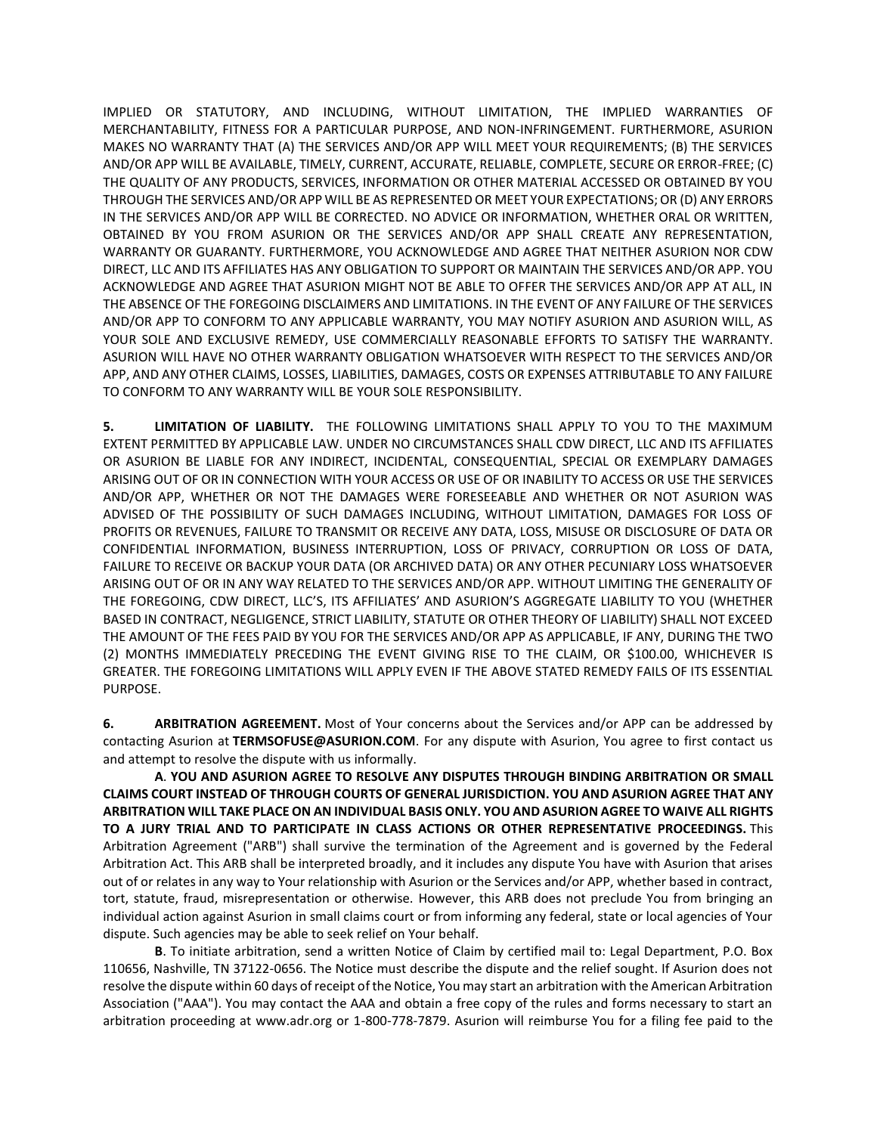IMPLIED OR STATUTORY, AND INCLUDING, WITHOUT LIMITATION, THE IMPLIED WARRANTIES OF MERCHANTABILITY, FITNESS FOR A PARTICULAR PURPOSE, AND NON-INFRINGEMENT. FURTHERMORE, ASURION MAKES NO WARRANTY THAT (A) THE SERVICES AND/OR APP WILL MEET YOUR REQUIREMENTS; (B) THE SERVICES AND/OR APP WILL BE AVAILABLE, TIMELY, CURRENT, ACCURATE, RELIABLE, COMPLETE, SECURE OR ERROR-FREE; (C) THE QUALITY OF ANY PRODUCTS, SERVICES, INFORMATION OR OTHER MATERIAL ACCESSED OR OBTAINED BY YOU THROUGH THE SERVICES AND/OR APP WILL BE AS REPRESENTED OR MEET YOUR EXPECTATIONS; OR (D) ANY ERRORS IN THE SERVICES AND/OR APP WILL BE CORRECTED. NO ADVICE OR INFORMATION, WHETHER ORAL OR WRITTEN, OBTAINED BY YOU FROM ASURION OR THE SERVICES AND/OR APP SHALL CREATE ANY REPRESENTATION, WARRANTY OR GUARANTY. FURTHERMORE, YOU ACKNOWLEDGE AND AGREE THAT NEITHER ASURION NOR CDW DIRECT, LLC AND ITS AFFILIATES HAS ANY OBLIGATION TO SUPPORT OR MAINTAIN THE SERVICES AND/OR APP. YOU ACKNOWLEDGE AND AGREE THAT ASURION MIGHT NOT BE ABLE TO OFFER THE SERVICES AND/OR APP AT ALL, IN THE ABSENCE OF THE FOREGOING DISCLAIMERS AND LIMITATIONS. IN THE EVENT OF ANY FAILURE OF THE SERVICES AND/OR APP TO CONFORM TO ANY APPLICABLE WARRANTY, YOU MAY NOTIFY ASURION AND ASURION WILL, AS YOUR SOLE AND EXCLUSIVE REMEDY, USE COMMERCIALLY REASONABLE EFFORTS TO SATISFY THE WARRANTY. ASURION WILL HAVE NO OTHER WARRANTY OBLIGATION WHATSOEVER WITH RESPECT TO THE SERVICES AND/OR APP, AND ANY OTHER CLAIMS, LOSSES, LIABILITIES, DAMAGES, COSTS OR EXPENSES ATTRIBUTABLE TO ANY FAILURE TO CONFORM TO ANY WARRANTY WILL BE YOUR SOLE RESPONSIBILITY.

**5. LIMITATION OF LIABILITY.** THE FOLLOWING LIMITATIONS SHALL APPLY TO YOU TO THE MAXIMUM EXTENT PERMITTED BY APPLICABLE LAW. UNDER NO CIRCUMSTANCES SHALL CDW DIRECT, LLC AND ITS AFFILIATES OR ASURION BE LIABLE FOR ANY INDIRECT, INCIDENTAL, CONSEQUENTIAL, SPECIAL OR EXEMPLARY DAMAGES ARISING OUT OF OR IN CONNECTION WITH YOUR ACCESS OR USE OF OR INABILITY TO ACCESS OR USE THE SERVICES AND/OR APP, WHETHER OR NOT THE DAMAGES WERE FORESEEABLE AND WHETHER OR NOT ASURION WAS ADVISED OF THE POSSIBILITY OF SUCH DAMAGES INCLUDING, WITHOUT LIMITATION, DAMAGES FOR LOSS OF PROFITS OR REVENUES, FAILURE TO TRANSMIT OR RECEIVE ANY DATA, LOSS, MISUSE OR DISCLOSURE OF DATA OR CONFIDENTIAL INFORMATION, BUSINESS INTERRUPTION, LOSS OF PRIVACY, CORRUPTION OR LOSS OF DATA, FAILURE TO RECEIVE OR BACKUP YOUR DATA (OR ARCHIVED DATA) OR ANY OTHER PECUNIARY LOSS WHATSOEVER ARISING OUT OF OR IN ANY WAY RELATED TO THE SERVICES AND/OR APP. WITHOUT LIMITING THE GENERALITY OF THE FOREGOING, CDW DIRECT, LLC'S, ITS AFFILIATES' AND ASURION'S AGGREGATE LIABILITY TO YOU (WHETHER BASED IN CONTRACT, NEGLIGENCE, STRICT LIABILITY, STATUTE OR OTHER THEORY OF LIABILITY) SHALL NOT EXCEED THE AMOUNT OF THE FEES PAID BY YOU FOR THE SERVICES AND/OR APP AS APPLICABLE, IF ANY, DURING THE TWO (2) MONTHS IMMEDIATELY PRECEDING THE EVENT GIVING RISE TO THE CLAIM, OR \$100.00, WHICHEVER IS GREATER. THE FOREGOING LIMITATIONS WILL APPLY EVEN IF THE ABOVE STATED REMEDY FAILS OF ITS ESSENTIAL PURPOSE.

**6. ARBITRATION AGREEMENT.** Most of Your concerns about the Services and/or APP can be addressed by contacting Asurion at **TERMSOFUSE@ASURION.COM**. For any dispute with Asurion, You agree to first contact us and attempt to resolve the dispute with us informally.

**A**. **YOU AND ASURION AGREE TO RESOLVE ANY DISPUTES THROUGH BINDING ARBITRATION OR SMALL CLAIMS COURT INSTEAD OF THROUGH COURTS OF GENERAL JURISDICTION. YOU AND ASURION AGREE THAT ANY ARBITRATION WILL TAKE PLACE ON AN INDIVIDUAL BASIS ONLY. YOU AND ASURION AGREE TO WAIVE ALL RIGHTS TO A JURY TRIAL AND TO PARTICIPATE IN CLASS ACTIONS OR OTHER REPRESENTATIVE PROCEEDINGS.** This Arbitration Agreement ("ARB") shall survive the termination of the Agreement and is governed by the Federal Arbitration Act. This ARB shall be interpreted broadly, and it includes any dispute You have with Asurion that arises out of or relates in any way to Your relationship with Asurion or the Services and/or APP, whether based in contract, tort, statute, fraud, misrepresentation or otherwise. However, this ARB does not preclude You from bringing an individual action against Asurion in small claims court or from informing any federal, state or local agencies of Your dispute. Such agencies may be able to seek relief on Your behalf.

**B**. To initiate arbitration, send a written Notice of Claim by certified mail to: Legal Department, P.O. Box 110656, Nashville, TN 37122-0656. The Notice must describe the dispute and the relief sought. If Asurion does not resolve the dispute within 60 days of receipt of the Notice, You may start an arbitration with the American Arbitration Association ("AAA"). You may contact the AAA and obtain a free copy of the rules and forms necessary to start an arbitration proceeding at www.adr.org or 1-800-778-7879. Asurion will reimburse You for a filing fee paid to the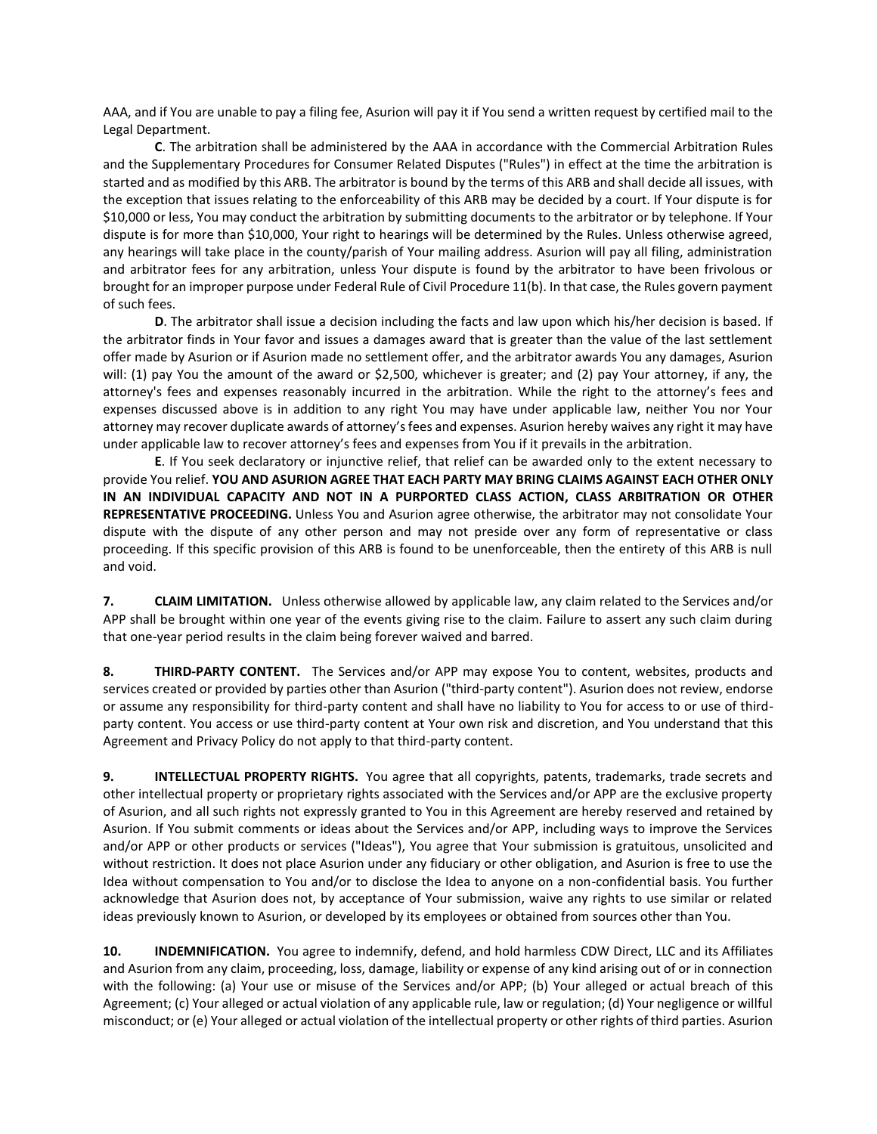AAA, and if You are unable to pay a filing fee, Asurion will pay it if You send a written request by certified mail to the Legal Department.

**C**. The arbitration shall be administered by the AAA in accordance with the Commercial Arbitration Rules and the Supplementary Procedures for Consumer Related Disputes ("Rules") in effect at the time the arbitration is started and as modified by this ARB. The arbitrator is bound by the terms of this ARB and shall decide all issues, with the exception that issues relating to the enforceability of this ARB may be decided by a court. If Your dispute is for \$10,000 or less, You may conduct the arbitration by submitting documents to the arbitrator or by telephone. If Your dispute is for more than \$10,000, Your right to hearings will be determined by the Rules. Unless otherwise agreed, any hearings will take place in the county/parish of Your mailing address. Asurion will pay all filing, administration and arbitrator fees for any arbitration, unless Your dispute is found by the arbitrator to have been frivolous or brought for an improper purpose under Federal Rule of Civil Procedure 11(b). In that case, the Rules govern payment of such fees.

**D**. The arbitrator shall issue a decision including the facts and law upon which his/her decision is based. If the arbitrator finds in Your favor and issues a damages award that is greater than the value of the last settlement offer made by Asurion or if Asurion made no settlement offer, and the arbitrator awards You any damages, Asurion will: (1) pay You the amount of the award or \$2,500, whichever is greater; and (2) pay Your attorney, if any, the attorney's fees and expenses reasonably incurred in the arbitration. While the right to the attorney's fees and expenses discussed above is in addition to any right You may have under applicable law, neither You nor Your attorney may recover duplicate awards of attorney's fees and expenses. Asurion hereby waives any right it may have under applicable law to recover attorney's fees and expenses from You if it prevails in the arbitration.

**E**. If You seek declaratory or injunctive relief, that relief can be awarded only to the extent necessary to provide You relief. **YOU AND ASURION AGREE THAT EACH PARTY MAY BRING CLAIMS AGAINST EACH OTHER ONLY IN AN INDIVIDUAL CAPACITY AND NOT IN A PURPORTED CLASS ACTION, CLASS ARBITRATION OR OTHER REPRESENTATIVE PROCEEDING.** Unless You and Asurion agree otherwise, the arbitrator may not consolidate Your dispute with the dispute of any other person and may not preside over any form of representative or class proceeding. If this specific provision of this ARB is found to be unenforceable, then the entirety of this ARB is null and void.

**7. CLAIM LIMITATION.** Unless otherwise allowed by applicable law, any claim related to the Services and/or APP shall be brought within one year of the events giving rise to the claim. Failure to assert any such claim during that one-year period results in the claim being forever waived and barred.

**8. THIRD-PARTY CONTENT.** The Services and/or APP may expose You to content, websites, products and services created or provided by parties other than Asurion ("third-party content"). Asurion does not review, endorse or assume any responsibility for third-party content and shall have no liability to You for access to or use of thirdparty content. You access or use third-party content at Your own risk and discretion, and You understand that this Agreement and Privacy Policy do not apply to that third-party content.

**9. INTELLECTUAL PROPERTY RIGHTS.** You agree that all copyrights, patents, trademarks, trade secrets and other intellectual property or proprietary rights associated with the Services and/or APP are the exclusive property of Asurion, and all such rights not expressly granted to You in this Agreement are hereby reserved and retained by Asurion. If You submit comments or ideas about the Services and/or APP, including ways to improve the Services and/or APP or other products or services ("Ideas"), You agree that Your submission is gratuitous, unsolicited and without restriction. It does not place Asurion under any fiduciary or other obligation, and Asurion is free to use the Idea without compensation to You and/or to disclose the Idea to anyone on a non-confidential basis. You further acknowledge that Asurion does not, by acceptance of Your submission, waive any rights to use similar or related ideas previously known to Asurion, or developed by its employees or obtained from sources other than You.

**10. INDEMNIFICATION.** You agree to indemnify, defend, and hold harmless CDW Direct, LLC and its Affiliates and Asurion from any claim, proceeding, loss, damage, liability or expense of any kind arising out of or in connection with the following: (a) Your use or misuse of the Services and/or APP; (b) Your alleged or actual breach of this Agreement; (c) Your alleged or actual violation of any applicable rule, law or regulation; (d) Your negligence or willful misconduct; or (e) Your alleged or actual violation of the intellectual property or other rights of third parties. Asurion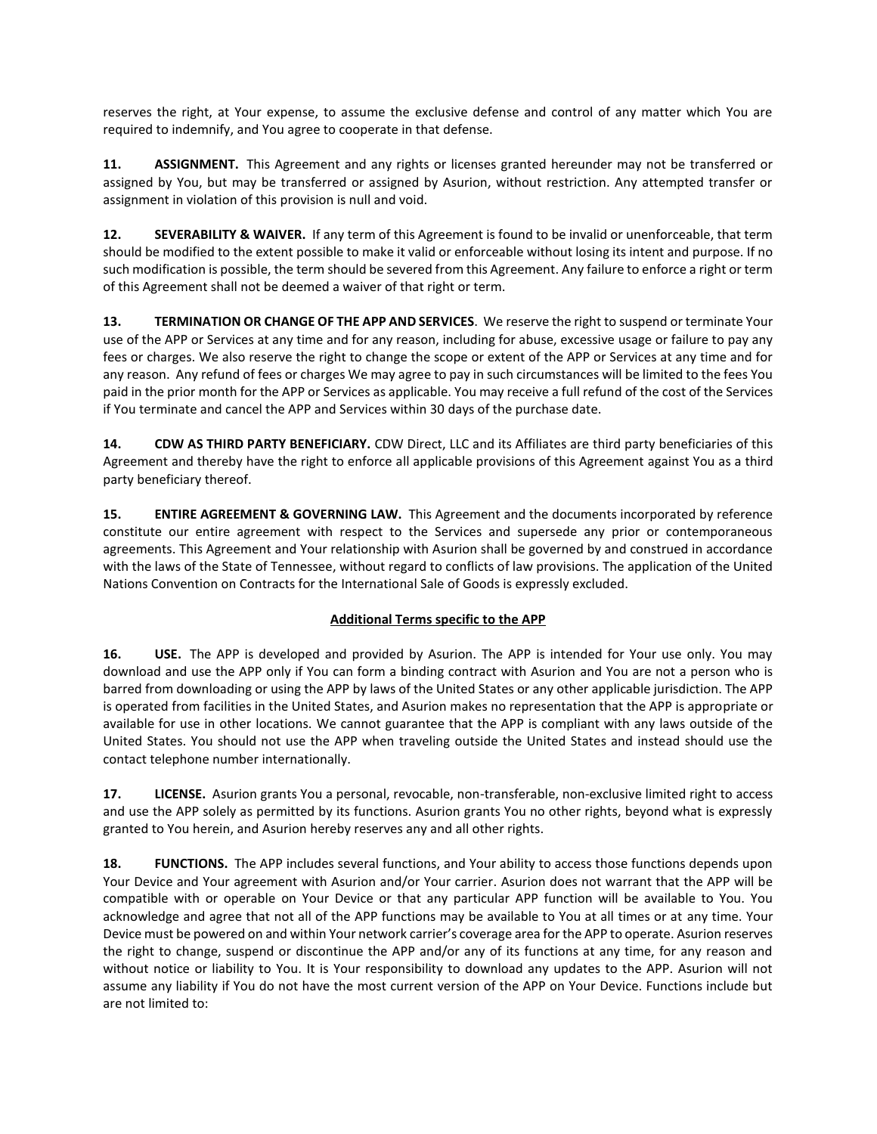reserves the right, at Your expense, to assume the exclusive defense and control of any matter which You are required to indemnify, and You agree to cooperate in that defense.

**11. ASSIGNMENT.** This Agreement and any rights or licenses granted hereunder may not be transferred or assigned by You, but may be transferred or assigned by Asurion, without restriction. Any attempted transfer or assignment in violation of this provision is null and void.

**12. SEVERABILITY & WAIVER.** If any term of this Agreement is found to be invalid or unenforceable, that term should be modified to the extent possible to make it valid or enforceable without losing its intent and purpose. If no such modification is possible, the term should be severed from this Agreement. Any failure to enforce a right or term of this Agreement shall not be deemed a waiver of that right or term.

**13. TERMINATION OR CHANGE OF THE APP AND SERVICES**. We reserve the right to suspend or terminate Your use of the APP or Services at any time and for any reason, including for abuse, excessive usage or failure to pay any fees or charges. We also reserve the right to change the scope or extent of the APP or Services at any time and for any reason. Any refund of fees or charges We may agree to pay in such circumstances will be limited to the fees You paid in the prior month for the APP or Services as applicable. You may receive a full refund of the cost of the Services if You terminate and cancel the APP and Services within 30 days of the purchase date.

**14. CDW AS THIRD PARTY BENEFICIARY.** CDW Direct, LLC and its Affiliates are third party beneficiaries of this Agreement and thereby have the right to enforce all applicable provisions of this Agreement against You as a third party beneficiary thereof.

**15. ENTIRE AGREEMENT & GOVERNING LAW.** This Agreement and the documents incorporated by reference constitute our entire agreement with respect to the Services and supersede any prior or contemporaneous agreements. This Agreement and Your relationship with Asurion shall be governed by and construed in accordance with the laws of the State of Tennessee, without regard to conflicts of law provisions. The application of the United Nations Convention on Contracts for the International Sale of Goods is expressly excluded.

# **Additional Terms specific to the APP**

**16. USE.** The APP is developed and provided by Asurion. The APP is intended for Your use only. You may download and use the APP only if You can form a binding contract with Asurion and You are not a person who is barred from downloading or using the APP by laws of the United States or any other applicable jurisdiction. The APP is operated from facilities in the United States, and Asurion makes no representation that the APP is appropriate or available for use in other locations. We cannot guarantee that the APP is compliant with any laws outside of the United States. You should not use the APP when traveling outside the United States and instead should use the contact telephone number internationally.

**17. LICENSE.** Asurion grants You a personal, revocable, non-transferable, non-exclusive limited right to access and use the APP solely as permitted by its functions. Asurion grants You no other rights, beyond what is expressly granted to You herein, and Asurion hereby reserves any and all other rights.

**18. FUNCTIONS.** The APP includes several functions, and Your ability to access those functions depends upon Your Device and Your agreement with Asurion and/or Your carrier. Asurion does not warrant that the APP will be compatible with or operable on Your Device or that any particular APP function will be available to You. You acknowledge and agree that not all of the APP functions may be available to You at all times or at any time. Your Device must be powered on and within Your network carrier's coverage area for the APP to operate. Asurion reserves the right to change, suspend or discontinue the APP and/or any of its functions at any time, for any reason and without notice or liability to You. It is Your responsibility to download any updates to the APP. Asurion will not assume any liability if You do not have the most current version of the APP on Your Device. Functions include but are not limited to: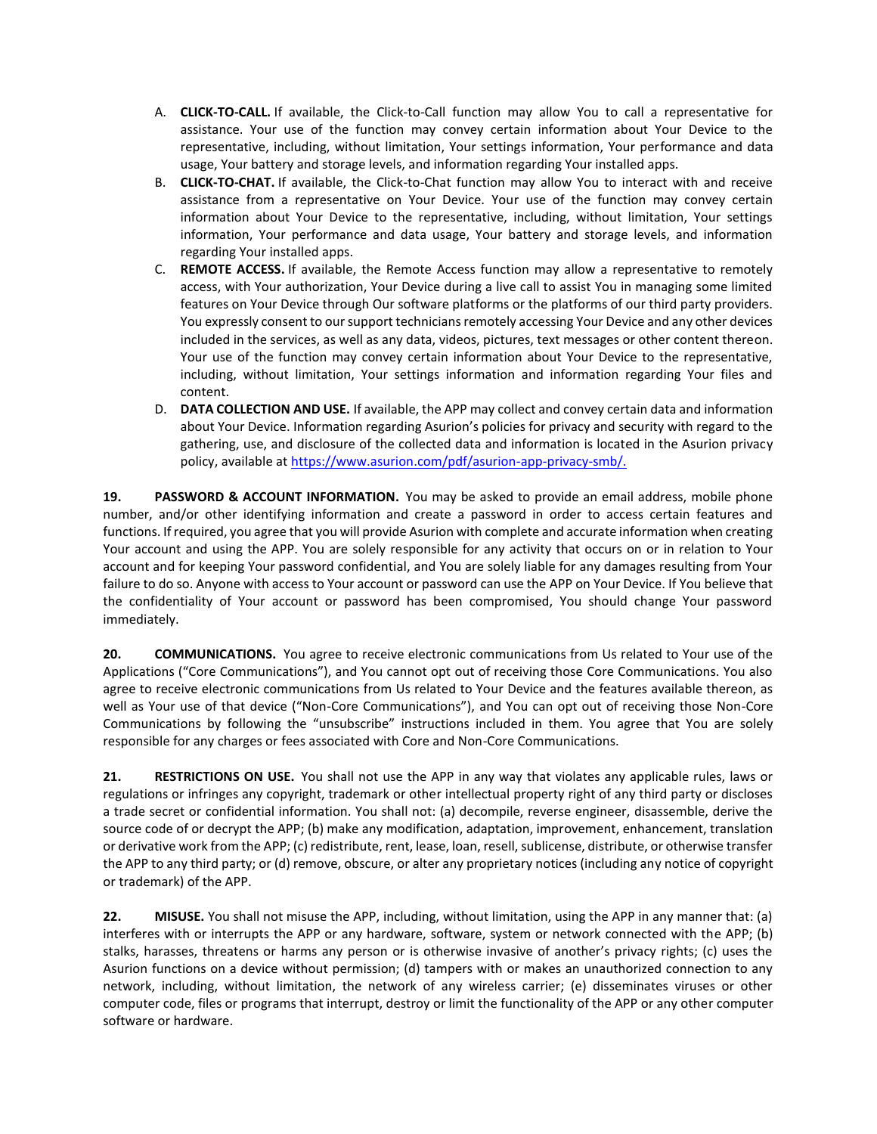- A. **CLICK-TO-CALL.** If available, the Click-to-Call function may allow You to call a representative for assistance. Your use of the function may convey certain information about Your Device to the representative, including, without limitation, Your settings information, Your performance and data usage, Your battery and storage levels, and information regarding Your installed apps.
- B. **CLICK-TO-CHAT.** If available, the Click-to-Chat function may allow You to interact with and receive assistance from a representative on Your Device. Your use of the function may convey certain information about Your Device to the representative, including, without limitation, Your settings information, Your performance and data usage, Your battery and storage levels, and information regarding Your installed apps.
- C. **REMOTE ACCESS.** If available, the Remote Access function may allow a representative to remotely access, with Your authorization, Your Device during a live call to assist You in managing some limited features on Your Device through Our software platforms or the platforms of our third party providers. You expressly consent to our support technicians remotely accessing Your Device and any other devices included in the services, as well as any data, videos, pictures, text messages or other content thereon. Your use of the function may convey certain information about Your Device to the representative, including, without limitation, Your settings information and information regarding Your files and content.
- D. **DATA COLLECTION AND USE.** If available, the APP may collect and convey certain data and information about Your Device. Information regarding Asurion's policies for privacy and security with regard to the gathering, use, and disclosure of the collected data and information is located in the Asurion privacy policy, available at [https://www.asurion.com/pdf/asurion-app-privacy-smb/.](https://www.asurion.com/pdf/asurion-app-privacy-smb/)

**19. PASSWORD & ACCOUNT INFORMATION.** You may be asked to provide an email address, mobile phone number, and/or other identifying information and create a password in order to access certain features and functions. If required, you agree that you will provide Asurion with complete and accurate information when creating Your account and using the APP. You are solely responsible for any activity that occurs on or in relation to Your account and for keeping Your password confidential, and You are solely liable for any damages resulting from Your failure to do so. Anyone with access to Your account or password can use the APP on Your Device. If You believe that the confidentiality of Your account or password has been compromised, You should change Your password immediately.

**20. COMMUNICATIONS.** You agree to receive electronic communications from Us related to Your use of the Applications ("Core Communications"), and You cannot opt out of receiving those Core Communications. You also agree to receive electronic communications from Us related to Your Device and the features available thereon, as well as Your use of that device ("Non-Core Communications"), and You can opt out of receiving those Non-Core Communications by following the "unsubscribe" instructions included in them. You agree that You are solely responsible for any charges or fees associated with Core and Non-Core Communications.

**21. RESTRICTIONS ON USE.** You shall not use the APP in any way that violates any applicable rules, laws or regulations or infringes any copyright, trademark or other intellectual property right of any third party or discloses a trade secret or confidential information. You shall not: (a) decompile, reverse engineer, disassemble, derive the source code of or decrypt the APP; (b) make any modification, adaptation, improvement, enhancement, translation or derivative work from the APP; (c) redistribute, rent, lease, loan, resell, sublicense, distribute, or otherwise transfer the APP to any third party; or (d) remove, obscure, or alter any proprietary notices (including any notice of copyright or trademark) of the APP.

**22. MISUSE.** You shall not misuse the APP, including, without limitation, using the APP in any manner that: (a) interferes with or interrupts the APP or any hardware, software, system or network connected with the APP; (b) stalks, harasses, threatens or harms any person or is otherwise invasive of another's privacy rights; (c) uses the Asurion functions on a device without permission; (d) tampers with or makes an unauthorized connection to any network, including, without limitation, the network of any wireless carrier; (e) disseminates viruses or other computer code, files or programs that interrupt, destroy or limit the functionality of the APP or any other computer software or hardware.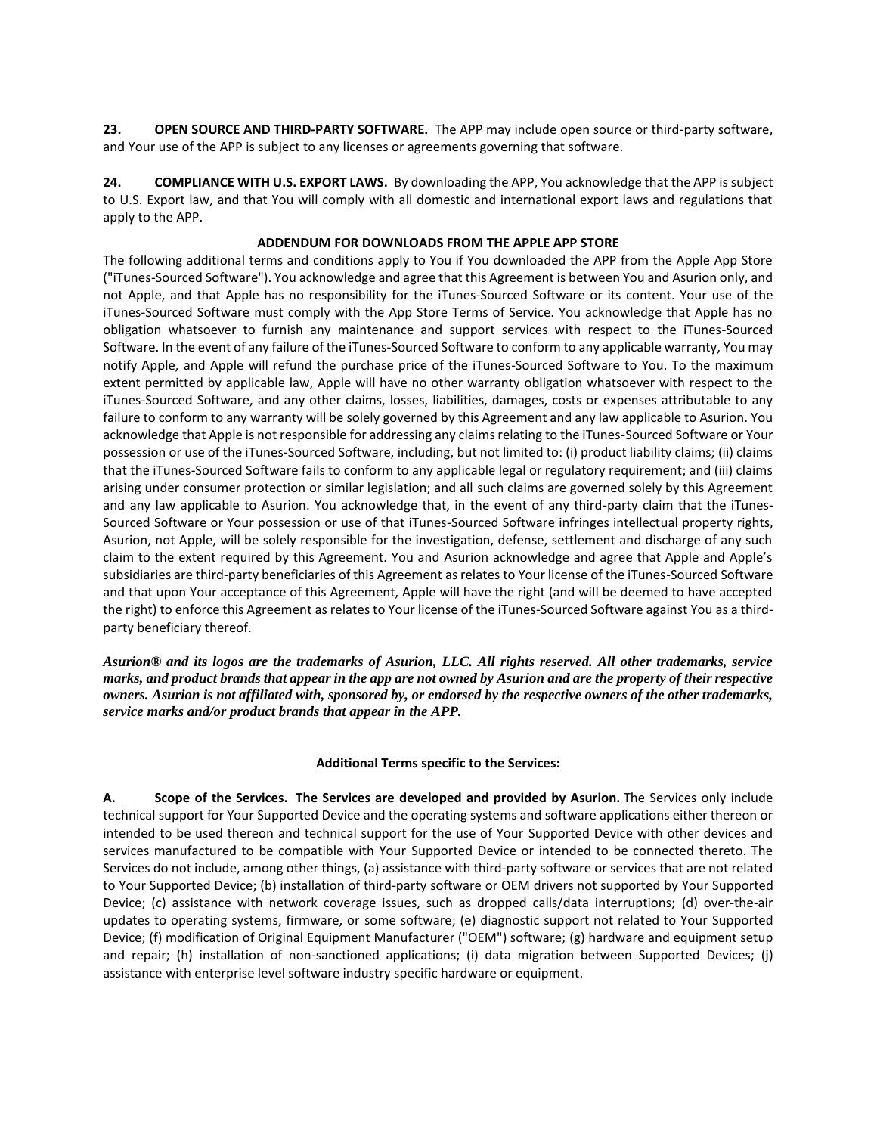**23. OPEN SOURCE AND THIRD-PARTY SOFTWARE.** The APP may include open source or third-party software, and Your use of the APP is subject to any licenses or agreements governing that software.

**24. COMPLIANCE WITH U.S. EXPORT LAWS.** By downloading the APP, You acknowledge that the APP is subject to U.S. Export law, and that You will comply with all domestic and international export laws and regulations that apply to the APP.

## **ADDENDUM FOR DOWNLOADS FROM THE APPLE APP STORE**

The following additional terms and conditions apply to You if You downloaded the APP from the Apple App Store ("iTunes-Sourced Software"). You acknowledge and agree that this Agreement is between You and Asurion only, and not Apple, and that Apple has no responsibility for the iTunes-Sourced Software or its content. Your use of the iTunes-Sourced Software must comply with the App Store Terms of Service. You acknowledge that Apple has no obligation whatsoever to furnish any maintenance and support services with respect to the iTunes-Sourced Software. In the event of any failure of the iTunes-Sourced Software to conform to any applicable warranty, You may notify Apple, and Apple will refund the purchase price of the iTunes-Sourced Software to You. To the maximum extent permitted by applicable law, Apple will have no other warranty obligation whatsoever with respect to the iTunes-Sourced Software, and any other claims, losses, liabilities, damages, costs or expenses attributable to any failure to conform to any warranty will be solely governed by this Agreement and any law applicable to Asurion. You acknowledge that Apple is not responsible for addressing any claims relating to the iTunes-Sourced Software or Your possession or use of the iTunes-Sourced Software, including, but not limited to: (i) product liability claims; (ii) claims that the iTunes-Sourced Software fails to conform to any applicable legal or regulatory requirement; and (iii) claims arising under consumer protection or similar legislation; and all such claims are governed solely by this Agreement and any law applicable to Asurion. You acknowledge that, in the event of any third-party claim that the iTunes-Sourced Software or Your possession or use of that iTunes-Sourced Software infringes intellectual property rights, Asurion, not Apple, will be solely responsible for the investigation, defense, settlement and discharge of any such claim to the extent required by this Agreement. You and Asurion acknowledge and agree that Apple and Apple's subsidiaries are third-party beneficiaries of this Agreement as relates to Your license of the iTunes-Sourced Software and that upon Your acceptance of this Agreement, Apple will have the right (and will be deemed to have accepted the right) to enforce this Agreement as relates to Your license of the iTunes-Sourced Software against You as a thirdparty beneficiary thereof.

*Asurion® and its logos are the trademarks of Asurion, LLC. All rights reserved. All other trademarks, service marks, and product brands that appear in the app are not owned by Asurion and are the property of their respective owners. Asurion is not affiliated with, sponsored by, or endorsed by the respective owners of the other trademarks, service marks and/or product brands that appear in the APP.*

## **Additional Terms specific to the Services:**

**A. Scope of the Services. The Services are developed and provided by Asurion.** The Services only include technical support for Your Supported Device and the operating systems and software applications either thereon or intended to be used thereon and technical support for the use of Your Supported Device with other devices and services manufactured to be compatible with Your Supported Device or intended to be connected thereto. The Services do not include, among other things, (a) assistance with third-party software or services that are not related to Your Supported Device; (b) installation of third-party software or OEM drivers not supported by Your Supported Device; (c) assistance with network coverage issues, such as dropped calls/data interruptions; (d) over-the-air updates to operating systems, firmware, or some software; (e) diagnostic support not related to Your Supported Device; (f) modification of Original Equipment Manufacturer ("OEM") software; (g) hardware and equipment setup and repair; (h) installation of non-sanctioned applications; (i) data migration between Supported Devices; (j) assistance with enterprise level software industry specific hardware or equipment.